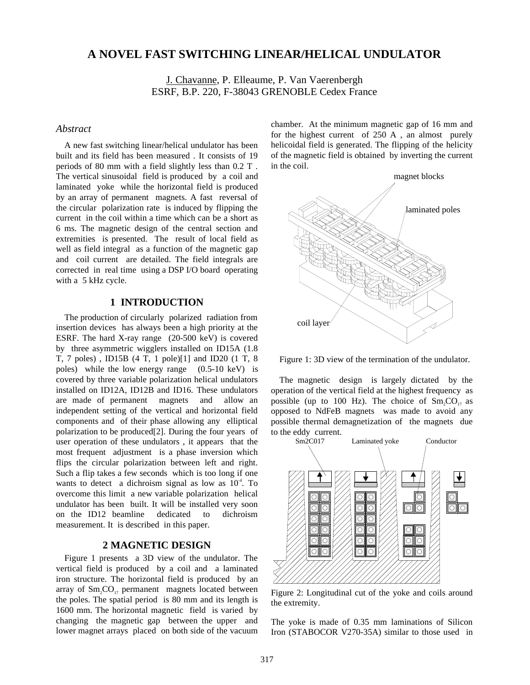# **A NOVEL FAST SWITCHING LINEAR/HELICAL UNDULATOR**

J. Chavanne, P. Elleaume, P. Van Vaerenbergh ESRF, B.P. 220, F-38043 GRENOBLE Cedex France

## *Abstract*

A new fast switching linear/helical undulator has been built and its field has been measured . It consists of 19 periods of 80 mm with a field slightly less than 0.2 T . The vertical sinusoidal field is produced by a coil and laminated yoke while the horizontal field is produced by an array of permanent magnets. A fast reversal of the circular polarization rate is induced by flipping the current in the coil within a time which can be a short as 6 ms. The magnetic design of the central section and extremities is presented. The result of local field as well as field integral as a function of the magnetic gap and coil current are detailed. The field integrals are corrected in real time using a DSP I/O board operating with a 5 kHz cycle.

### **1 INTRODUCTION**

The production of circularly polarized radiation from insertion devices has always been a high priority at the ESRF. The hard X-ray range (20-500 keV) is covered by three asymmetric wigglers installed on ID15A (1.8 T, 7 poles) , ID15B (4 T, 1 pole)[1] and ID20 (1 T, 8 poles) while the low energy range (0.5-10 keV) is covered by three variable polarization helical undulators installed on ID12A, ID12B and ID16. These undulators are made of permanent magnets and allow an independent setting of the vertical and horizontal field components and of their phase allowing any elliptical polarization to be produced[2]. During the four years of user operation of these undulators , it appears that the most frequent adjustment is a phase inversion which flips the circular polarization between left and right. Such a flip takes a few seconds which is too long if one wants to detect a dichroism signal as low as  $10<sup>-4</sup>$ . To overcome this limit a new variable polarization helical undulator has been built. It will be installed very soon on the ID12 beamline dedicated to dichroism measurement. It is described in this paper.

#### **2 MAGNETIC DESIGN**

Figure 1 presents a 3D view of the undulator. The vertical field is produced by a coil and a laminated iron structure. The horizontal field is produced by an array of  $Sm_2CO_{17}$  permanent magnets located between the poles. The spatial period is 80 mm and its length is 1600 mm. The horizontal magnetic field is varied by changing the magnetic gap between the upper and lower magnet arrays placed on both side of the vacuum

chamber. At the minimum magnetic gap of 16 mm and for the highest current of 250 A , an almost purely helicoidal field is generated. The flipping of the helicity of the magnetic field is obtained by inverting the current in the coil.



Figure 1: 3D view of the termination of the undulator.

The magnetic design is largely dictated by the operation of the vertical field at the highest frequency as possible (up to 100 Hz). The choice of  $Sm, CO_{17}$  as opposed to NdFeB magnets was made to avoid any possible thermal demagnetization of the magnets due to the eddy current.<br>Sm2C017



Figure 2: Longitudinal cut of the yoke and coils around the extremity.

The yoke is made of 0.35 mm laminations of Silicon Iron (STABOCOR V270-35A) similar to those used in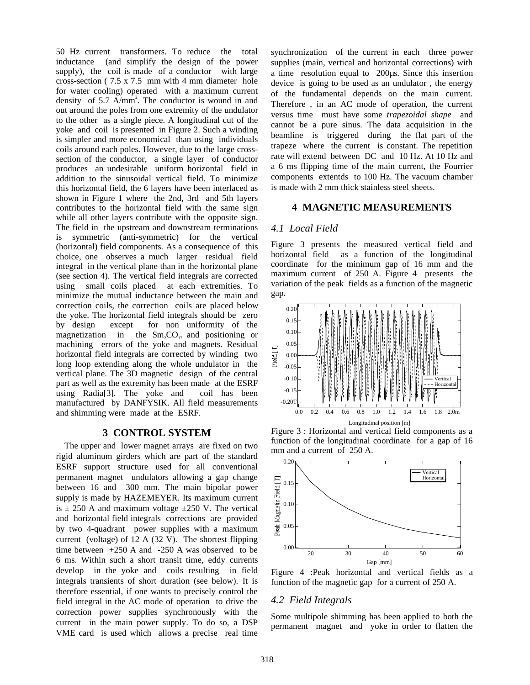50 Hz current transformers. To reduce the total inductance (and simplify the design of the power supply), the coil is made of a conductor with large cross-section ( 7.5 x 7.5 mm with 4 mm diameter hole for water cooling) operated with a maximum current density of 5.7  $\text{A/mm}^2$ . The conductor is wound in and out around the poles from one extremity of the undulator to the other as a single piece. A longitudinal cut of the yoke and coil is presented in Figure 2. Such a winding is simpler and more economical than using individuals coils around each poles. However, due to the large crosssection of the conductor, a single layer of conductor produces an undesirable uniform horizontal field in addition to the sinusoidal vertical field. To minimize this horizontal field, the 6 layers have been interlaced as shown in Figure 1 where the 2nd, 3rd and 5th layers contributes to the horizontal field with the same sign while all other layers contribute with the opposite sign. The field in the upstream and downstream terminations is symmetric (anti-symmetric) for the vertical (horizontal) field components. As a consequence of this choice, one observes a much larger residual field integral in the vertical plane than in the horizontal plane (see section 4). The vertical field integrals are corrected using small coils placed at each extremities. To minimize the mutual inductance between the main and correction coils, the correction coils are placed below the yoke. The horizontal field integrals should be zero by design except for non uniformity of the magnetization in the  $Sm, CO_{17}$  and positioning or machining errors of the yoke and magnets. Residual horizontal field integrals are corrected by winding two long loop extending along the whole undulator in the vertical plane. The 3D magnetic design of the central part as well as the extremity has been made at the ESRF using Radia[3]. The yoke and coil has been manufactured by DANFYSIK. All field measurements and shimming were made at the ESRF.

### **3 CONTROL SYSTEM**

The upper and lower magnet arrays are fixed on two rigid aluminum girders which are part of the standard ESRF support structure used for all conventional permanent magnet undulators allowing a gap change between 16 and 300 mm. The main bipolar power supply is made by HAZEMEYER. Its maximum current is  $\pm$  250 A and maximum voltage  $\pm$ 250 V. The vertical and horizontal field integrals corrections are provided by two 4-quadrant power supplies with a maximum current (voltage) of 12 A (32 V). The shortest flipping time between +250 A and -250 A was observed to be 6 ms. Within such a short transit time, eddy currents develop in the yoke and coils resulting in field integrals transients of short duration (see below). It is therefore essential, if one wants to precisely control the field integral in the AC mode of operation to drive the correction power supplies synchronously with the current in the main power supply. To do so, a DSP VME card is used which allows a precise real time

synchronization of the current in each three power supplies (main, vertical and horizontal corrections) with a time resolution equal to 200µs. Since this insertion device is going to be used as an undulator , the energy of the fundamental depends on the main current. Therefore , in an AC mode of operation, the current versus time must have some *trapezoidal shape* and cannot be a pure sinus. The data acquisition in the beamline is triggered during the flat part of the trapeze where the current is constant. The repetition rate will extend between DC and 10 Hz. At 10 Hz and a 6 ms flipping time of the main current, the Fourrier components extentds to 100 Hz. The vacuum chamber is made with 2 mm thick stainless steel sheets.

### **4 MAGNETIC MEASUREMENTS**

## *4.1 Local Field*

Figure 3 presents the measured vertical field and horizontal field as a function of the longitudinal coordinate for the minimum gap of 16 mm and the maximum current of 250 A. Figure 4 presents the variation of the peak fields as a function of the magnetic gap.



Figure 3 : Horizontal and vertical field components as a function of the longitudinal coordinate for a gap of 16 mm and a current of 250 A.



Figure 4 :Peak horizontal and vertical fields as a function of the magnetic gap for a current of 250 A.

#### *4.2 Field Integrals*

Some multipole shimming has been applied to both the permanent magnet and yoke in order to flatten the